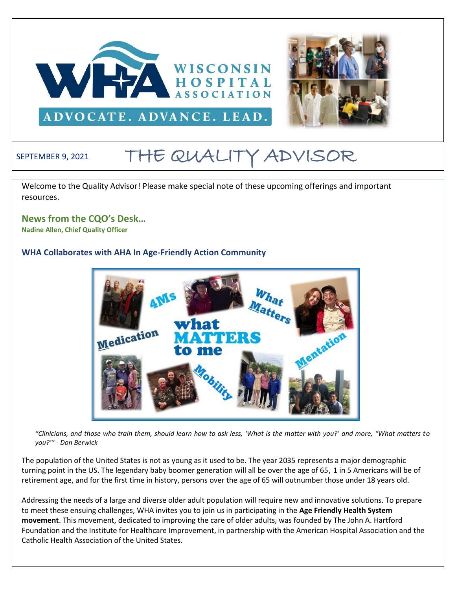



## ADVOCATE. ADVANCE. LEAD.

# SEPTEMBER 9, 2021 THE QUALITY ADVISOR

Welcome to the Quality Advisor! Please make special note of these upcoming offerings and important resources.

#### **News from the CQO's Desk…**

**Nadine Allen, Chief Quality Officer**

#### **WHA Collaborates with AHA In Age-Friendly Action Community**



*"Clinicians, and those who train them, should learn how to ask less, 'What is the matter with you?' and more, "What matters to you?'" - Don Berwick*

The population of the United States is not as young as it used to be. The year 2035 represents a major demographic turning point in the US. The legendary baby boomer generation will all be over the age of 65, 1 in 5 Americans will be of retirement age, and for the first time in history, persons over the age of 65 will outnumber those under 18 years old.

Addressing the needs of a large and diverse older adult population will require new and innovative solutions. To prepare to meet these ensuing challenges, WHA invites you to join us in participating in the **Age Friendly Health System movement**. This movement, dedicated to improving the care of older adults, was founded by The John A. Hartford Foundation and the Institute for Healthcare Improvement, in partnership with the American Hospital Association and the Catholic Health Association of the United States.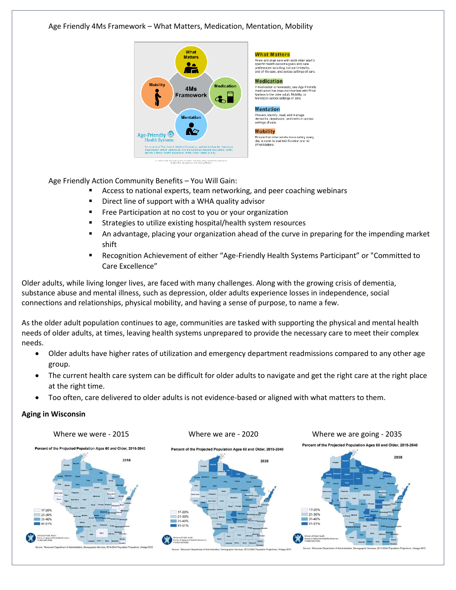Age Friendly 4Ms Framework – What Matters, Medication, Mentation, Mobility



Age Friendly Action Community Benefits – You Will Gain:

- Access to national experts, team networking, and peer coaching webinars
- Direct line of support with a WHA quality advisor
- Free Participation at no cost to you or your organization
- Strategies to utilize existing hospital/health system resources
- An advantage, placing your organization ahead of the curve in preparing for the impending market shift
- Recognition Achievement of either "Age-Friendly Health Systems Participant" or "Committed to Care Excellence"

Older adults, while living longer lives, are faced with many challenges. Along with the growing crisis of dementia, substance abuse and mental illness, such as depression, older adults experience losses in independence, social connections and relationships, physical mobility, and having a sense of purpose, to name a few.

As the older adult population continues to age, communities are tasked with supporting the physical and mental health needs of older adults, at times, leaving health systems unprepared to provide the necessary care to meet their complex needs.

- Older adults have higher rates of utilization and emergency department readmissions compared to any other age group.
- The current health care system can be difficult for older adults to navigate and get the right care at the right place at the right time.
- Too often, care delivered to older adults is not evidence-based or aligned with what matters to them.

#### **Aging in Wisconsin**

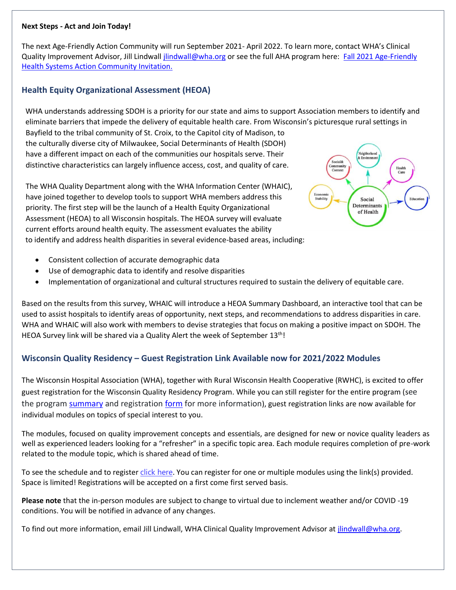#### **Next Steps - Act and Join Today!**

The next Age-Friendly Action Community will run September 2021- April 2022. To learn more, contact WHA's Clinical Quality Improvement Advisor, Jill Lindwall *jlindwall@wha.org* or see the full AHA program here: Fall 2021 Age-Friendly [Health Systems Action Community Invitation.](https://www.aha.org/system/files/media/file/2021/06/Age-Friendly-Action-Community-Invitation.pdf)

#### **Health Equity Organizational Assessment (HEOA)**

 WHA understands addressing SDOH is a priority for our state and aims to support Association members to identify and eliminate barriers that impede the delivery of equitable health care. From Wisconsin's picturesque rural settings in

Bayfield to the tribal community of St. Croix, to the Capitol city of Madison, to the culturally diverse city of Milwaukee, Social Determinants of Health (SDOH) have a different impact on each of the communities our hospitals serve. Their distinctive characteristics can largely influence access, cost, and quality of care.

The WHA Quality Department along with the WHA Information Center (WHAIC), have joined together to develop tools to support WHA members address this priority. The first step will be the launch of a Health Equity Organizational Assessment (HEOA) to all Wisconsin hospitals. The HEOA survey will evaluate current efforts around health equity. The assessment evaluates the ability to identify and address health disparities in several evidence-based areas, including:



- Consistent collection of accurate demographic data
- Use of demographic data to identify and resolve disparities
- Implementation of organizational and cultural structures required to sustain the delivery of equitable care.

Based on the results from this survey, WHAIC will introduce a HEOA Summary Dashboard, an interactive tool that can be used to assist hospitals to identify areas of opportunity, next steps, and recommendations to address disparities in care. WHA and WHAIC will also work with members to devise strategies that focus on making a positive impact on SDOH. The HEOA Survey link will be shared via a Quality Alert the week of September 13<sup>th</sup>!

#### **Wisconsin Quality Residency – Guest Registration Link Available now for 2021/2022 Modules**

The Wisconsin Hospital Association (WHA), together with Rural Wisconsin Health Cooperative (RWHC), is excited to offer guest registration for the Wisconsin Quality Residency Program. While you can still register for the entire program (see the program [summary](https://www.wha.org/QualityResidencyModuleSchedule) and registration [form](https://forms.office.com/r/62Eu8ctdNb) for more information), guest registration links are now available for individual modules on topics of special interest to you.

The modules, focused on quality improvement concepts and essentials, are designed for new or novice quality leaders as well as experienced leaders looking for a "refresher" in a specific topic area. Each module requires completion of pre-work related to the module topic, which is shared ahead of time.

To see the schedule and to register [click here](http://www.wha.org/Home/Common-PDFs/WI-QR-ProgramGUEST-SCHEDULE-2021.pdf). You can register for one or multiple modules using the link(s) provided. Space is limited! Registrations will be accepted on a first come first served basis.

**Please note** that the in-person modules are subject to change to virtual due to inclement weather and/or COVID -19 conditions. You will be notified in advance of any changes.

To find out more information, email Jill Lindwall, WHA Clinical Quality Improvement Advisor at [jlindwall@wha.org.](mailto:jlindwall@wha.org)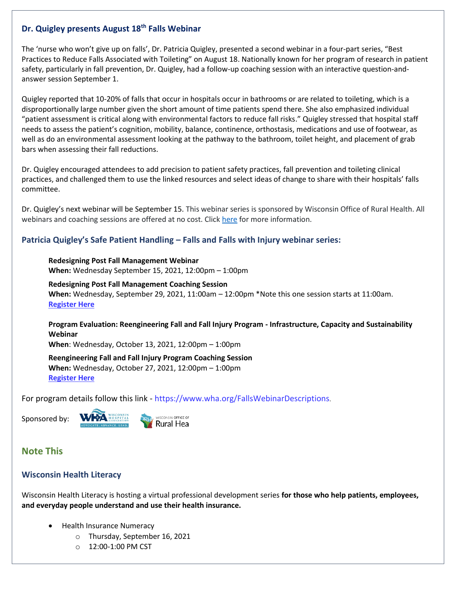#### **Dr. Quigley presents August 18th Falls Webinar**

The 'nurse who won't give up on falls', Dr. Patricia Quigley, presented a second webinar in a four-part series, "Best Practices to Reduce Falls Associated with Toileting" on August 18. Nationally known for her program of research in patient safety, particularly in fall prevention, Dr. Quigley, had a follow-up coaching session with an interactive question-andanswer session September 1.

Quigley reported that 10-20% of falls that occur in hospitals occur in bathrooms or are related to toileting, which is a disproportionally large number given the short amount of time patients spend there. She also emphasized individual "patient assessment is critical along with environmental factors to reduce fall risks." Quigley stressed that hospital staff needs to assess the patient's cognition, mobility, balance, continence, orthostasis, medications and use of footwear, as well as do an environmental assessment looking at the pathway to the bathroom, toilet height, and placement of grab bars when assessing their fall reductions.

Dr. Quigley encouraged attendees to add precision to patient safety practices, fall prevention and toileting clinical practices, and challenged them to use the linked resources and select ideas of change to share with their hospitals' falls committee.

Dr. Quigley's next webinar will be September 15. This webinar series is sponsored by Wisconsin Office of Rural Health. All webinars and coaching sessions are offered at no cost. Click [here](https://www.wha.org/FallsWebinarDescriptions) for more information.

#### **Patricia Quigley's Safe Patient Handling – Falls and Falls with Injury webinar series:**

**Redesigning Post Fall Management Webinar When:** Wednesday September 15, 2021, 12:00pm – 1:00pm

**Redesigning Post Fall Management Coaching Session When:** Wednesday, September 29, 2021, 11:00am – 12:00pm \*Note this one session starts at 11:00am. **[Register Here](https://forms.office.com/r/rptRYneQ68)**

**Program Evaluation: Reengineering Fall and Fall Injury Program - Infrastructure, Capacity and Sustainability Webinar**

**When**: Wednesday, October 13, 2021, 12:00pm – 1:00pm

**Reengineering Fall and Fall Injury Program Coaching Session When:** Wednesday, October 27, 2021, 12:00pm – 1:00pm **[Register Here](https://forms.office.com/r/Nxpd1FfPPk)**

For program details follow this link - <https://www.wha.org/FallsWebinarDescriptions>.

Sponsored by:



Rural Hea

### **Note This**

#### **Wisconsin Health Literacy**

Wisconsin Health Literacy is hosting a virtual professional development series **for those who help patients, employees, and everyday people understand and use their health insurance.** 

- Health Insurance Numeracy
	- o Thursday, September 16, 2021
	- $O = 12:00-1:00$  PM CST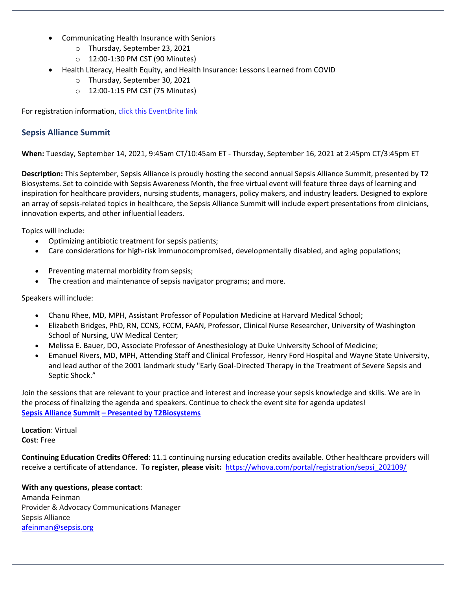- Communicating Health Insurance with Seniors
	- o Thursday, September 23, 2021
	- o 12:00-1:30 PM CST (90 Minutes)
- Health Literacy, Health Equity, and Health Insurance: Lessons Learned from COVID
	- o Thursday, September 30, 2021
	- o 12:00-1:15 PM CST (75 Minutes)

For registration information, [click this EventBrite link](https://www.eventbrite.com/e/strengthen-health-insurance-literacy-tickets-157948878347)

#### **Sepsis Alliance Summit**

**When:** Tuesday, September 14, 2021, 9:45am CT/10:45am ET - Thursday, September 16, 2021 at 2:45pm CT/3:45pm ET

**Description:** This September, Sepsis Alliance is proudly hosting the second annual Sepsis Alliance Summit, presented by T2 Biosystems. Set to coincide with Sepsis Awareness Month, the free virtual event will feature three days of learning and inspiration for healthcare providers, nursing students, managers, policy makers, and industry leaders. Designed to explore an array of sepsis-related topics in healthcare, the Sepsis Alliance Summit will include expert presentations from clinicians, innovation experts, and other influential leaders.

Topics will include:

- Optimizing antibiotic treatment for sepsis patients;
- Care considerations for high-risk immunocompromised, developmentally disabled, and aging populations;
- Preventing maternal morbidity from sepsis;
- The creation and maintenance of sepsis navigator programs; and more.

Speakers will include:

- Chanu Rhee, MD, MPH, Assistant Professor of Population Medicine at Harvard Medical School;
- Elizabeth Bridges, PhD, RN, CCNS, FCCM, FAAN, Professor, Clinical Nurse Researcher, University of Washington School of Nursing, UW Medical Center;
- Melissa E. Bauer, DO, Associate Professor of Anesthesiology at Duke University School of Medicine;
- Emanuel Rivers, MD, MPH, Attending Staff and Clinical Professor, Henry Ford Hospital and Wayne State University, and lead author of the 2001 landmark study "Early Goal-Directed Therapy in the Treatment of Severe Sepsis and Septic Shock."

Join the sessions that are relevant to your practice and interest and increase your sepsis knowledge and skills. We are in the process of finalizing the agenda and speakers. Continue to check the event site for agenda updates! **Sepsis Alliance Summit – [Presented by T2Biosystems](https://whova.com/web/sepsi_202109/)**

**Location**: Virtual **Cost**: Free

**Continuing Education Credits Offered**: 11.1 continuing nursing education credits available. Other healthcare providers will receive a certificate of attendance. **To register, please visit:** [https://whova.com/portal/registration/sepsi\\_202109/](https://whova.com/portal/registration/sepsi_202109/)

#### **With any questions, please contact**:

Amanda Feinman Provider & Advocacy Communications Manager Sepsis Alliance [afeinman@sepsis.org](mailto:afeinman@sepsis.org)